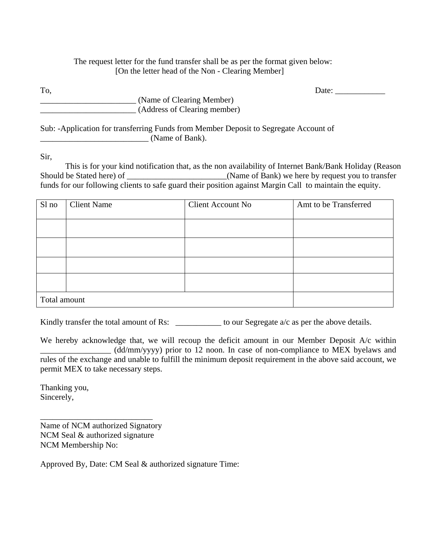## The request letter for the fund transfer shall be as per the format given below: [On the letter head of the Non - Clearing Member]

To, Date: \_\_\_\_\_\_\_\_\_\_\_\_

\_\_\_\_\_\_\_\_\_\_\_\_\_\_\_\_\_\_\_\_\_\_\_ (Name of Clearing Member) \_\_\_\_\_\_\_\_\_\_\_\_\_\_\_\_\_\_\_\_\_\_\_ (Address of Clearing member)

Sub: -Application for transferring Funds from Member Deposit to Segregate Account of (Name of Bank).

Sir,

This is for your kind notification that, as the non availability of Internet Bank/Bank Holiday (Reason Should be Stated here) of  $\Box$  (Name of Bank) we here by request you to transfer funds for our following clients to safe guard their position against Margin Call to maintain the equity.

| Sl no        | <b>Client Name</b> | <b>Client Account No</b> | Amt to be Transferred |
|--------------|--------------------|--------------------------|-----------------------|
|              |                    |                          |                       |
|              |                    |                          |                       |
|              |                    |                          |                       |
|              |                    |                          |                       |
| Total amount |                    |                          |                       |

Kindly transfer the total amount of Rs: \_\_\_\_\_\_\_\_\_\_\_\_\_ to our Segregate a/c as per the above details.

We hereby acknowledge that, we will recoup the deficit amount in our Member Deposit A/c within \_\_\_\_\_\_\_\_\_\_\_\_\_\_\_\_\_ (dd/mm/yyyy) prior to 12 noon. In case of non-compliance to MEX byelaws and rules of the exchange and unable to fulfill the minimum deposit requirement in the above said account, we permit MEX to take necessary steps.

Thanking you, Sincerely,

Name of NCM authorized Signatory NCM Seal & authorized signature NCM Membership No:

\_\_\_\_\_\_\_\_\_\_\_\_\_\_\_\_\_\_\_\_\_\_\_\_\_\_\_

Approved By, Date: CM Seal & authorized signature Time: